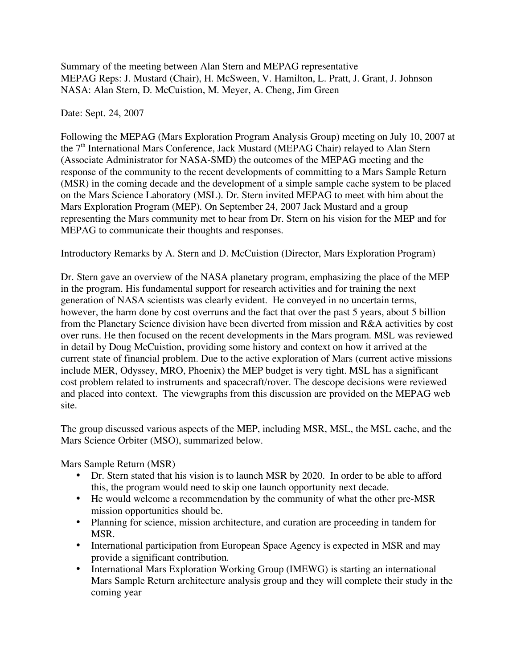Summary of the meeting between Alan Stern and MEPAG representative MEPAG Reps: J. Mustard (Chair), H. McSween, V. Hamilton, L. Pratt, J. Grant, J. Johnson NASA: Alan Stern, D. McCuistion, M. Meyer, A. Cheng, Jim Green

Date: Sept. 24, 2007

Following the MEPAG (Mars Exploration Program Analysis Group) meeting on July 10, 2007 at the 7<sup>th</sup> International Mars Conference, Jack Mustard (MEPAG Chair) relayed to Alan Stern (Associate Administrator for NASA-SMD) the outcomes of the MEPAG meeting and the response of the community to the recent developments of committing to a Mars Sample Return (MSR) in the coming decade and the development of a simple sample cache system to be placed on the Mars Science Laboratory (MSL). Dr. Stern invited MEPAG to meet with him about the Mars Exploration Program (MEP). On September 24, 2007 Jack Mustard and a group representing the Mars community met to hear from Dr. Stern on his vision for the MEP and for MEPAG to communicate their thoughts and responses.

Introductory Remarks by A. Stern and D. McCuistion (Director, Mars Exploration Program)

Dr. Stern gave an overview of the NASA planetary program, emphasizing the place of the MEP in the program. His fundamental support for research activities and for training the next generation of NASA scientists was clearly evident. He conveyed in no uncertain terms, however, the harm done by cost overruns and the fact that over the past 5 years, about 5 billion from the Planetary Science division have been diverted from mission and R&A activities by cost over runs. He then focused on the recent developments in the Mars program. MSL was reviewed in detail by Doug McCuistion, providing some history and context on how it arrived at the current state of financial problem. Due to the active exploration of Mars (current active missions include MER, Odyssey, MRO, Phoenix) the MEP budget is very tight. MSL has a significant cost problem related to instruments and spacecraft/rover. The descope decisions were reviewed and placed into context. The viewgraphs from this discussion are provided on the MEPAG web site.

The group discussed various aspects of the MEP, including MSR, MSL, the MSL cache, and the Mars Science Orbiter (MSO), summarized below.

Mars Sample Return (MSR)

- Dr. Stern stated that his vision is to launch MSR by 2020. In order to be able to afford this, the program would need to skip one launch opportunity next decade.
- He would welcome a recommendation by the community of what the other pre-MSR mission opportunities should be.
- Planning for science, mission architecture, and curation are proceeding in tandem for MSR.
- International participation from European Space Agency is expected in MSR and may provide a significant contribution.
- International Mars Exploration Working Group (IMEWG) is starting an international Mars Sample Return architecture analysis group and they will complete their study in the coming year